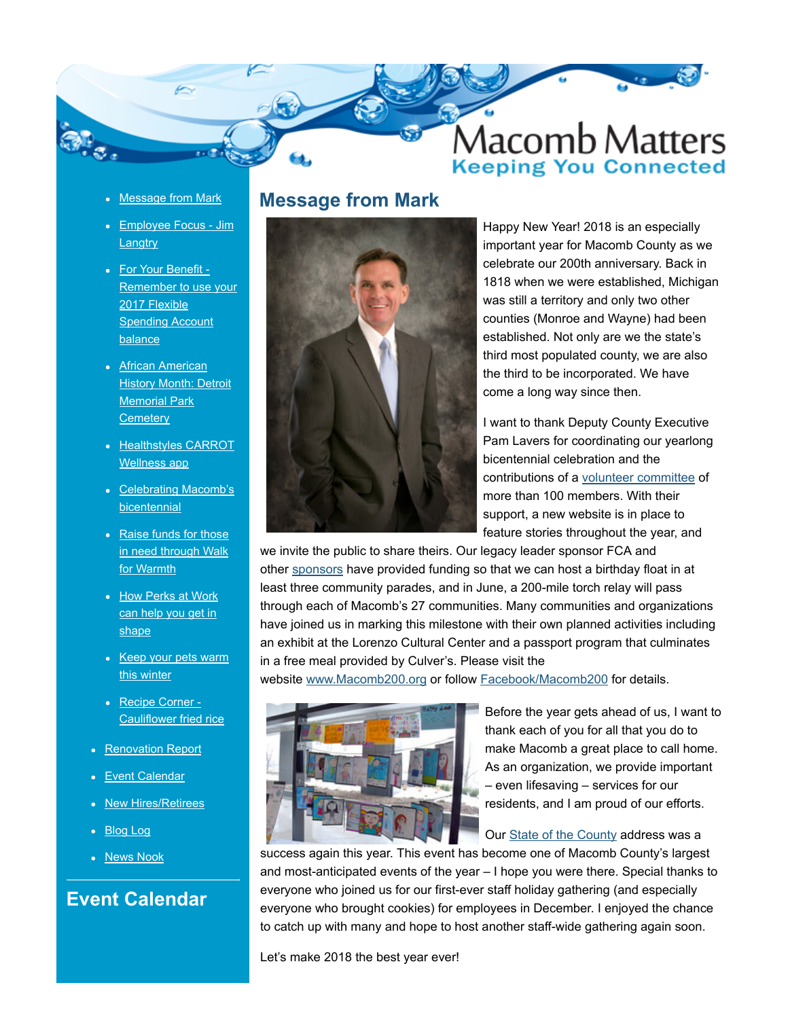

- [Message from Mark](http://executive.macombgov.org/Executive-MacombMatters-February-2018#Mark)
- [Employee Focus Jim](http://executive.macombgov.org/Executive-MacombMatters-February-2018#Focus) **Langtry**
- For Your Benefit -[Remember to use your](http://executive.macombgov.org/Executive-MacombMatters-February-2018#Benefit) 2017 Flexible **Spending Account** balance
- African American **[History Month: Detroit](http://executive.macombgov.org/Executive-MacombMatters-February-2018#Cemetery)** Memorial Park **Cemetery**
- [Healthstyles CARROT](http://executive.macombgov.org/Executive-MacombMatters-February-2018#Healthstyles) Wellness app
- [Celebrating Macomb's](http://executive.macombgov.org/Executive-MacombMatters-February-2018#Memories) **bicentennial**
- [Raise funds for those](http://executive.macombgov.org/Executive-MacombMatters-February-2018#W4W) in need through Walk for Warmth
- [How Perks at Work](http://executive.macombgov.org/Executive-MacombMatters-February-2018#Perks) can help you get in shape
- [Keep your pets warm](http://executive.macombgov.org/Executive-MacombMatters-February-2018#Paw) this winter
- Recipe Corner -[Cauliflower fried rice](http://executive.macombgov.org/Executive-MacombMatters-February-2018#Recipe)
- [Renovation Report](http://www.macombgov.org/sites/default/files/content/government/executive/pdfs/macombmatters/MonthlyReportJanuary0218.PDF)
- [Event Calendar](http://executive.macombgov.org/Executive-MacombMatters-February-2018#Event)
- [New Hires/Retirees](http://www.macombgov.org/sites/default/files/content/government/executive/pdfs/macombmatters/October_November2017NewHire_Retiree.pdf)
- [Blog Log](http://executive.macombgov.org/Executive-MacombMatters-February-2018#Blog)
- [News Nook](http://executive.macombgov.org/Executive-MacombMatters-February-2018#Nook)

#### Event Calendar

#### Message from Mark



Happy New Year! 2018 is an especially important year for Macomb County as we celebrate our 200th anniversary. Back in 1818 when we were established, Michigan was still a territory and only two other counties (Monroe and Wayne) had been established. Not only are we the state's third most populated county, we are also the third to be incorporated. We have come a long way since then.

I want to thank Deputy County Executive Pam Lavers for coordinating our yearlong bicentennial celebration and the contributions of a [volunteer committee](http://macomb200.macombgov.org/Macomb200-BicentennialCommittee) of more than 100 members. With their support, a new website is in place to feature stories throughout the year, and

we invite the public to share theirs. Our legacy leader sponsor FCA and other [sponsors](http://macomb200.macombgov.org/Macomb200-Home) have provided funding so that we can host a birthday float in at least three community parades, and in June, a 200-mile torch relay will pass through each of Macomb's 27 communities. Many communities and organizations have joined us in marking this milestone with their own planned activities including an exhibit at the Lorenzo Cultural Center and a passport program that culminates in a free meal provided by Culver's. Please visit the

website [www.Macomb200.org](http://www.macomb200.org/) or follow **Facebook/Macomb200** for details.



Before the year gets ahead of us, I want to thank each of you for all that you do to make Macomb a great place to call home. As an organization, we provide important – even lifesaving – services for our residents, and I am proud of our efforts.

Our [State of the County](http://executive.macombgov.org/Executive-SOTC-2017) address was a

success again this year. This event has become one of Macomb County's largest and most-anticipated events of the year – I hope you were there. Special thanks to everyone who joined us for our first-ever staff holiday gathering (and especially everyone who brought cookies) for employees in December. I enjoyed the chance to catch up with many and hope to host another staff-wide gathering again soon.

Let's make 2018 the best year ever!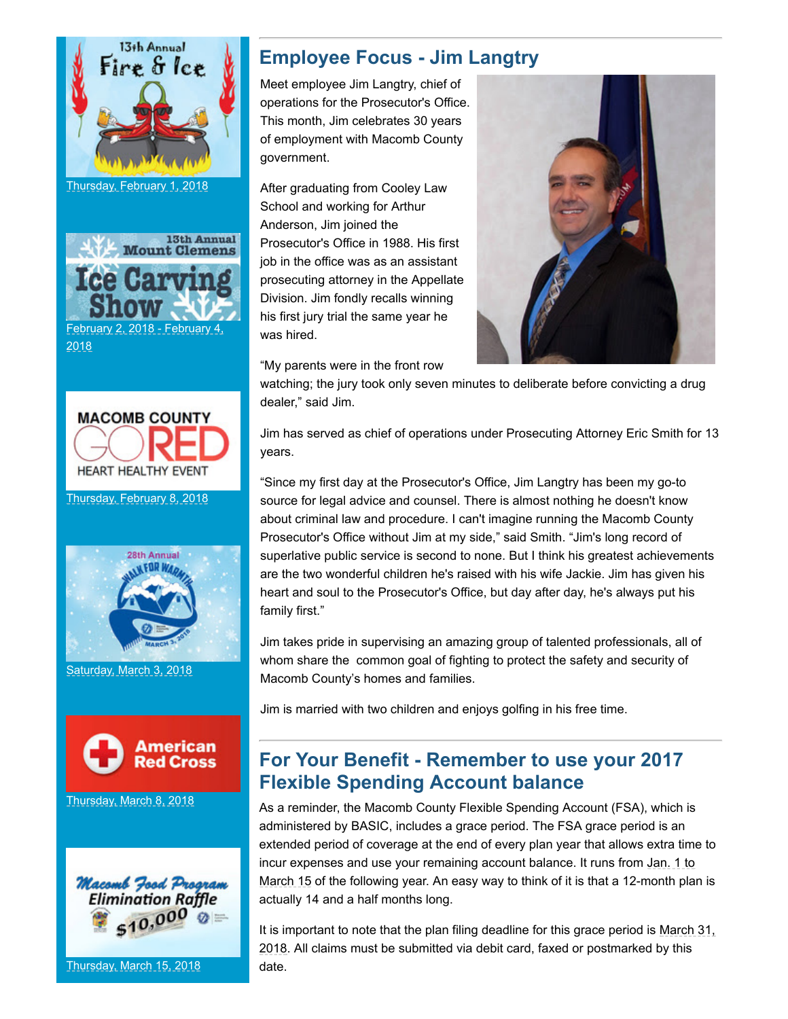

Thursday, February 1, 2018





Thursday, February 8, 2018



Saturday, March 3, 2018



[Thursday, March 8, 2018](http://www.macombgov.org/sites/default/files/content/government/executive/pdfs/macombmatters/blooddrive03082018.pdf)



Thursday, March 15, 2018

# Employee Focus - Jim Langtry

Meet employee Jim Langtry, chief of operations for the Prosecutor's Office. This month, Jim celebrates 30 years of employment with Macomb County government.

After graduating from Cooley Law School and working for Arthur Anderson, Jim joined the Prosecutor's Office in 1988. His first job in the office was as an assistant prosecuting attorney in the Appellate Division. Jim fondly recalls winning his first jury trial the same year he was hired.

"My parents were in the front row

watching; the jury took only seven minutes to deliberate before convicting a drug dealer," said Jim.

Jim has served as chief of operations under Prosecuting Attorney Eric Smith for 13 years.

"Since my first day at the Prosecutor's Office, Jim Langtry has been my go-to source for legal advice and counsel. There is almost nothing he doesn't know about criminal law and procedure. I can't imagine running the Macomb County Prosecutor's Office without Jim at my side," said Smith. "Jim's long record of superlative public service is second to none. But I think his greatest achievements are the two wonderful children he's raised with his wife Jackie. Jim has given his heart and soul to the Prosecutor's Office, but day after day, he's always put his family first."

Jim takes pride in supervising an amazing group of talented professionals, all of whom share the common goal of fighting to protect the safety and security of Macomb County's homes and families.

Jim is married with two children and enjoys golfing in his free time.

## For Your Benefit - Remember to use your 2017 Flexible Spending Account balance

As a reminder, the Macomb County Flexible Spending Account (FSA), which is administered by BASIC, includes a grace period. The FSA grace period is an extended period of coverage at the end of every plan year that allows extra time to incur expenses and use your remaining account balance. It runs from Jan. 1 to March 15 of the following year. An easy way to think of it is that a 12-month plan is actually 14 and a half months long.

It is important to note that the plan filing deadline for this grace period is March 31, 2018. All claims must be submitted via debit card, faxed or postmarked by this date.

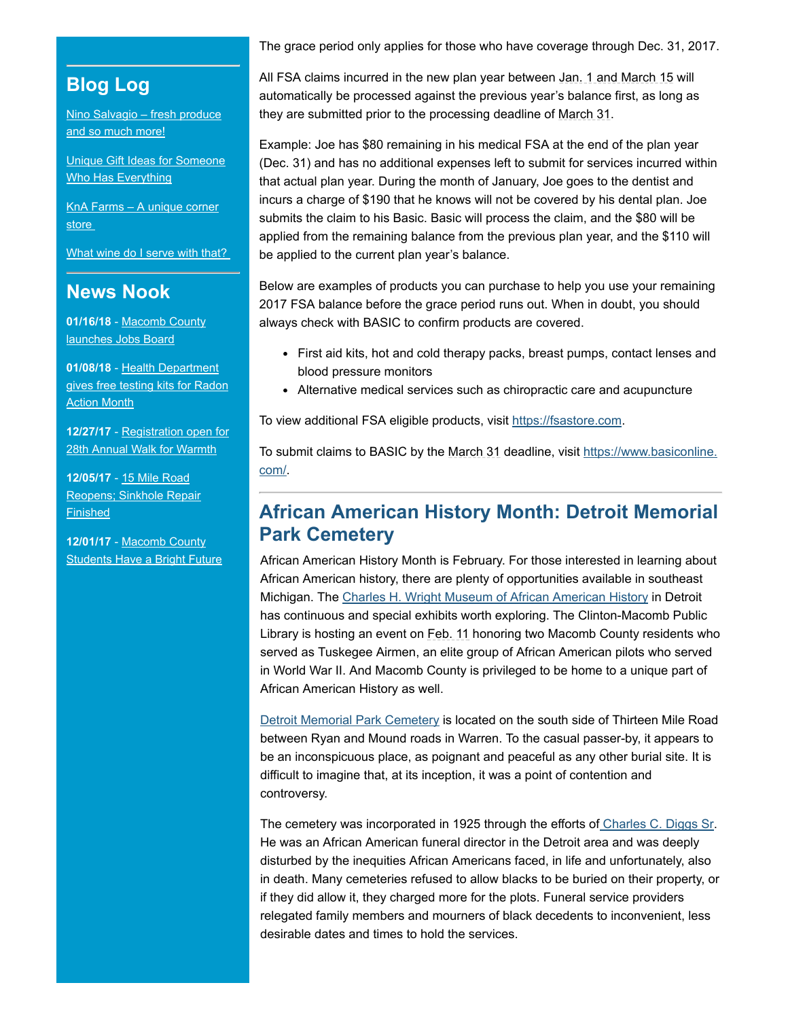# Blog Log

[Nino Salvagio – fresh produce](https://mmyh.wordpress.com/2017/11/30/nino-salvagio-fresh-produce-and-so-much-more/) and so much more!

[Unique Gift Ideas for Someone](https://mmyh.wordpress.com/2017/11/27/unique-gift-ideas-for-someone-who-has-everything/) Who Has Everything

[KnA Farms – A unique corner](https://mmyh.wordpress.com/2017/11/24/kna-farms-a-unique-corner-store/) store

What wine do I serve with that?

## News Nook

01/16/18 - Macomb County [launches Jobs Board](http://government.macombgov.org/sites/default/files/content/government/ped/pdfs/news/PED-MacombCountylauncesJobsBoard011618.pdf)

01/08/18 - Health Department [gives free testing kits for Radon](http://government.macombgov.org/sites/default/files/content/government/health/pdfs/news/Health-HealthDepartmentgivesawayfreetestingkitsforRadonActionMonth010818.pdf) **Action Month** 

12/27/17 - Registration open for [28th Annual Walk for Warmth](http://government.macombgov.org/sites/default/files/content/government/mca/pdfs/news/MCA-Registrationopenfor28thAnnualWalkforWarmth122717.pdf)

12/05/17 - 15 Mile Road [Reopens; Sinkhole Repair](http://government.macombgov.org/node/322541) **Finished** 

12/01/17 - Macomb County **[Students Have a Bright Future](http://government.macombgov.org/sites/default/files/content/government/executive/pdfs/news/OEC-Macomb_County_Students120117.pdf)**  The grace period only applies for those who have coverage through Dec. 31, 2017.

All FSA claims incurred in the new plan year between Jan. 1 and March 15 will automatically be processed against the previous year's balance first, as long as they are submitted prior to the processing deadline of March 31.

Example: Joe has \$80 remaining in his medical FSA at the end of the plan year (Dec. 31) and has no additional expenses left to submit for services incurred within that actual plan year. During the month of January, Joe goes to the dentist and incurs a charge of \$190 that he knows will not be covered by his dental plan. Joe submits the claim to his Basic. Basic will process the claim, and the \$80 will be applied from the remaining balance from the previous plan year, and the \$110 will be applied to the current plan year's balance.

Below are examples of products you can purchase to help you use your remaining 2017 FSA balance before the grace period runs out. When in doubt, you should always check with BASIC to confirm products are covered.

- First aid kits, hot and cold therapy packs, breast pumps, contact lenses and blood pressure monitors
- Alternative medical services such as chiropractic care and acupuncture

To view additional FSA eligible products, visit [https://fsastore.com.](https://fsastore.com/)

To submit claims to BASIC by the March 31 [deadline, visit https://www.basiconline.](https://www.basiconline.com/) com/.

## African American History Month: Detroit Memorial Park Cemetery

African American History Month is February. For those interested in learning about African American history, there are plenty of opportunities available in southeast Michigan. The [Charles H. Wright Museum of African American History](https://thewright.org/) in Detroit has continuous and special exhibits worth exploring. The Clinton-Macomb Public Library is hosting an event on Feb. 11 honoring two Macomb County residents who served as Tuskegee Airmen, an elite group of African American pilots who served in World War II. And Macomb County is privileged to be home to a unique part of African American History as well.

[Detroit Memorial Park Cemetery](http://www.detroitmemorialpark.com/about_us.php) is located on the south side of Thirteen Mile Road between Ryan and Mound roads in Warren. To the casual passer-by, it appears to be an inconspicuous place, as poignant and peaceful as any other burial site. It is difficult to imagine that, at its inception, it was a point of contention and controversy.

The cemetery was incorporated in 1925 through the efforts of [Charles C. Diggs Sr.](https://tbobdid.wordpress.com/the-need-for-black-undertakers/undertakers-in-detroit/diggs/) He was an African American funeral director in the Detroit area and was deeply disturbed by the inequities African Americans faced, in life and unfortunately, also in death. Many cemeteries refused to allow blacks to be buried on their property, or if they did allow it, they charged more for the plots. Funeral service providers relegated family members and mourners of black decedents to inconvenient, less desirable dates and times to hold the services.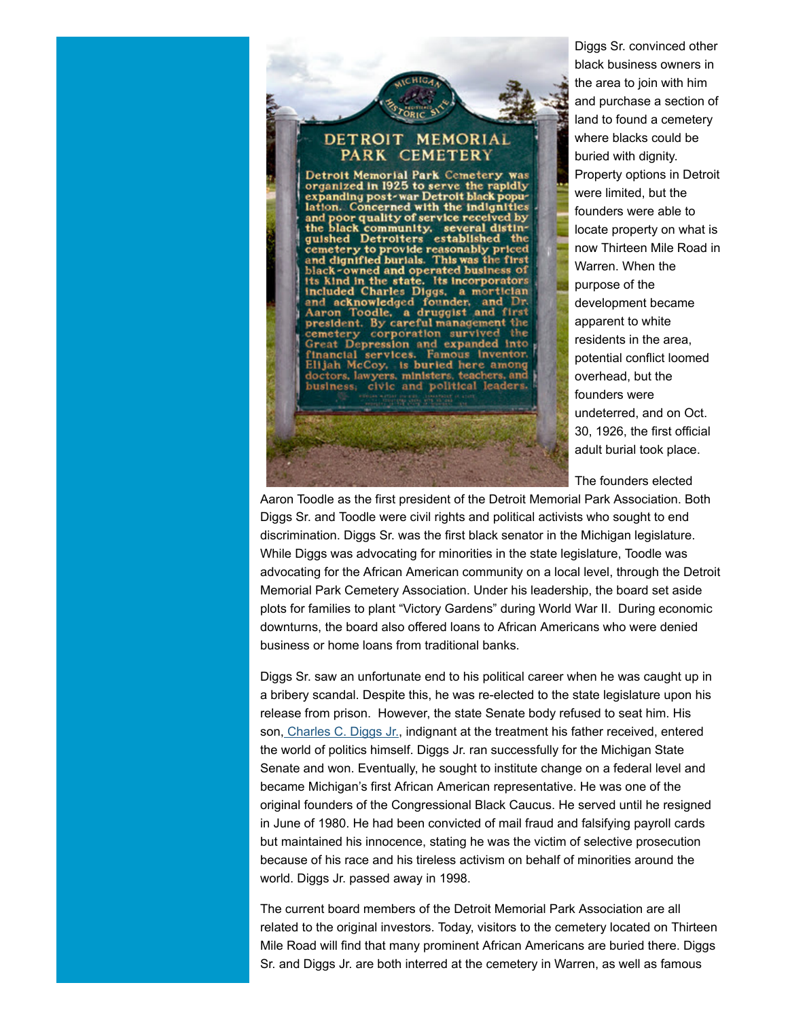

Diggs Sr. convinced other black business owners in the area to join with him and purchase a section of land to found a cemetery where blacks could be buried with dignity. Property options in Detroit were limited, but the founders were able to locate property on what is now Thirteen Mile Road in Warren. When the purpose of the development became apparent to white residents in the area, potential conflict loomed overhead, but the founders were undeterred, and on Oct. 30, 1926, the first official adult burial took place.

The founders elected

Aaron Toodle as the first president of the Detroit Memorial Park Association. Both Diggs Sr. and Toodle were civil rights and political activists who sought to end discrimination. Diggs Sr. was the first black senator in the Michigan legislature. While Diggs was advocating for minorities in the state legislature, Toodle was advocating for the African American community on a local level, through the Detroit Memorial Park Cemetery Association. Under his leadership, the board set aside plots for families to plant "Victory Gardens" during World War II. During economic downturns, the board also offered loans to African Americans who were denied business or home loans from traditional banks.

Diggs Sr. saw an unfortunate end to his political career when he was caught up in a bribery scandal. Despite this, he was re-elected to the state legislature upon his release from prison. However, the state Senate body refused to seat him. His son, [Charles C. Diggs Jr.](http://history.house.gov/People/Detail?id=12254), indignant at the treatment his father received, entered the world of politics himself. Diggs Jr. ran successfully for the Michigan State Senate and won. Eventually, he sought to institute change on a federal level and became Michigan's first African American representative. He was one of the original founders of the Congressional Black Caucus. He served until he resigned in June of 1980. He had been convicted of mail fraud and falsifying payroll cards but maintained his innocence, stating he was the victim of selective prosecution because of his race and his tireless activism on behalf of minorities around the world. Diggs Jr. passed away in 1998.

The current board members of the Detroit Memorial Park Association are all related to the original investors. Today, visitors to the cemetery located on Thirteen Mile Road will find that many prominent African Americans are buried there. Diggs Sr. and Diggs Jr. are both interred at the cemetery in Warren, as well as famous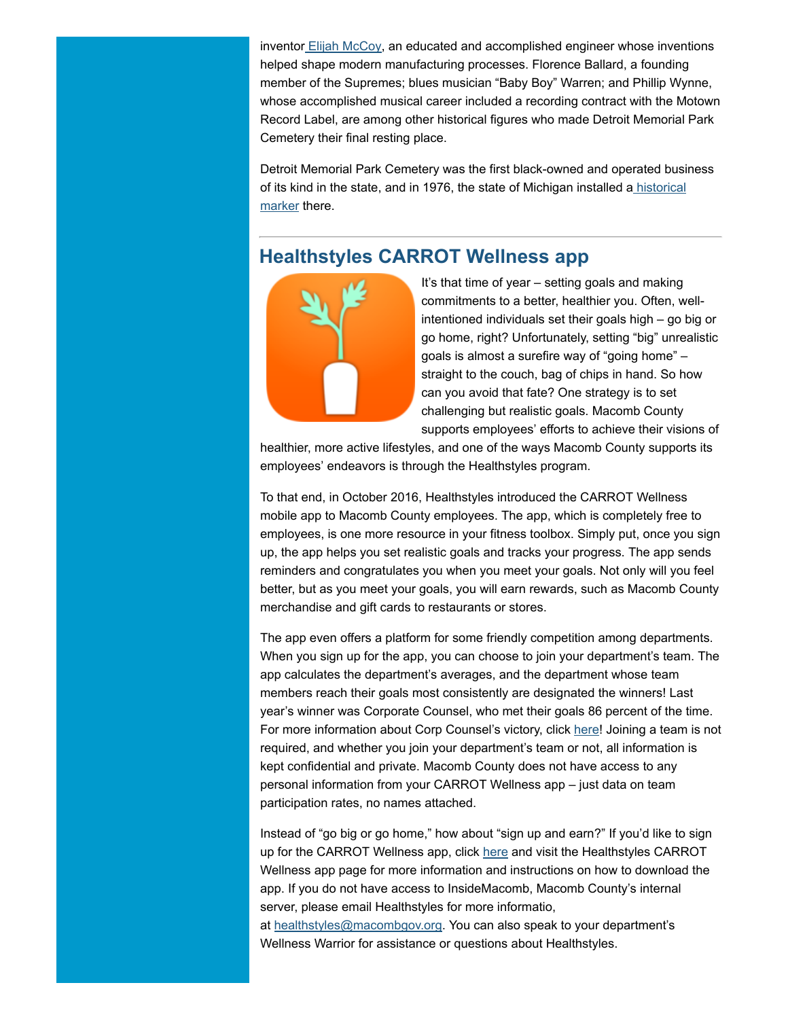inventor [Elijah McCoy,](https://www.biography.com/people/elijah-mccoy-9391300) an educated and accomplished engineer whose inventions helped shape modern manufacturing processes. Florence Ballard, a founding member of the Supremes; blues musician "Baby Boy" Warren; and Phillip Wynne, whose accomplished musical career included a recording contract with the Motown Record Label, are among other historical figures who made Detroit Memorial Park Cemetery their final resting place.

Detroit Memorial Park Cemetery was the first black-owned and operated business [of its kind in the state, and in 1976, the state of Michigan installed a historical](http://www.michmarkers.com/startup.asp?startpage=L0392.htm) marker there.

## Healthstyles CARROT Wellness app



It's that time of year – setting goals and making commitments to a better, healthier you. Often, wellintentioned individuals set their goals high – go big or go home, right? Unfortunately, setting "big" unrealistic goals is almost a surefire way of "going home" – straight to the couch, bag of chips in hand. So how can you avoid that fate? One strategy is to set challenging but realistic goals. Macomb County supports employees' efforts to achieve their visions of

healthier, more active lifestyles, and one of the ways Macomb County supports its employees' endeavors is through the Healthstyles program.

To that end, in October 2016, Healthstyles introduced the CARROT Wellness mobile app to Macomb County employees. The app, which is completely free to employees, is one more resource in your fitness toolbox. Simply put, once you sign up, the app helps you set realistic goals and tracks your progress. The app sends reminders and congratulates you when you meet your goals. Not only will you feel better, but as you meet your goals, you will earn rewards, such as Macomb County merchandise and gift cards to restaurants or stores.

The app even offers a platform for some friendly competition among departments. When you sign up for the app, you can choose to join your department's team. The app calculates the department's averages, and the department whose team members reach their goals most consistently are designated the winners! Last year's winner was Corporate Counsel, who met their goals 86 percent of the time. For more information about Corp Counsel's victory, click [here!](https://carrotwellness.com/blog/2017/11/29/congrats-to-macomb-countys-winning-team) Joining a team is not required, and whether you join your department's team or not, all information is kept confidential and private. Macomb County does not have access to any personal information from your CARROT Wellness app – just data on team participation rates, no names attached.

Instead of "go big or go home," how about "sign up and earn?" If you'd like to sign up for the CARROT Wellness app, click [here](http://insidemacomb.macombgov.org/healthstyles-carrotapp) and visit the Healthstyles CARROT Wellness app page for more information and instructions on how to download the app. If you do not have access to InsideMacomb, Macomb County's internal server, please email Healthstyles for more informatio,

at [healthstyles@macombgov.org.](mailto:healthstyles@macombgov.org) You can also speak to your department's Wellness Warrior for assistance or questions about Healthstyles.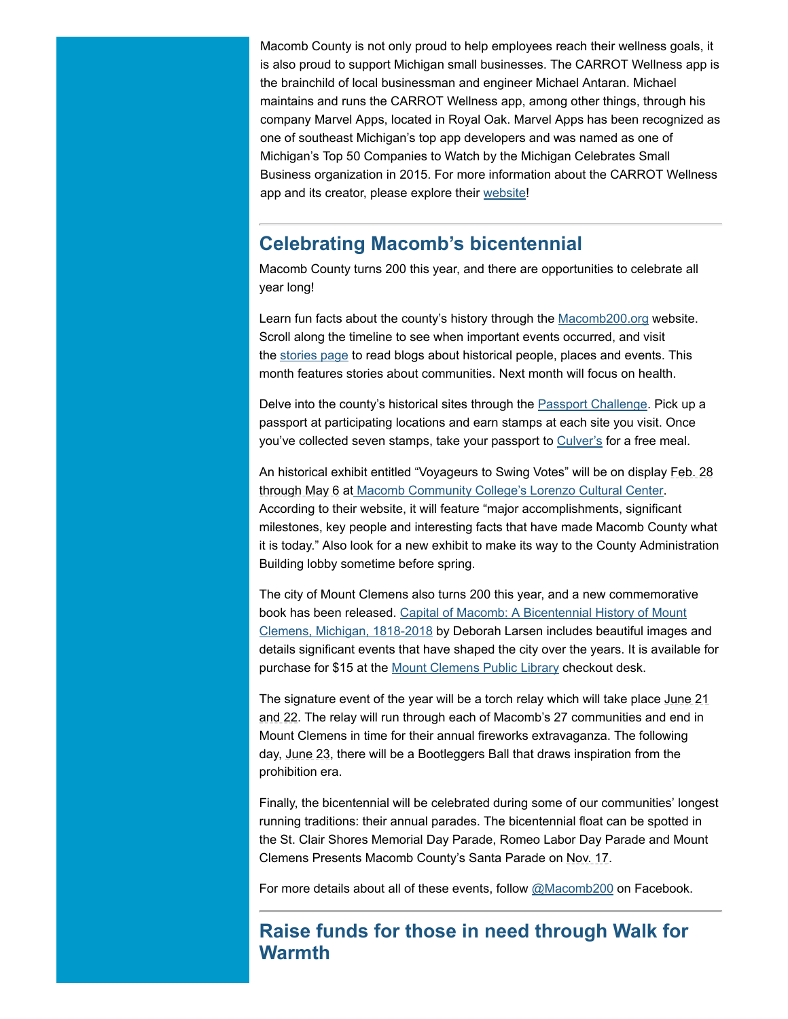Macomb County is not only proud to help employees reach their wellness goals, it is also proud to support Michigan small businesses. The CARROT Wellness app is the brainchild of local businessman and engineer Michael Antaran. Michael maintains and runs the CARROT Wellness app, among other things, through his company Marvel Apps, located in Royal Oak. Marvel Apps has been recognized as one of southeast Michigan's top app developers and was named as one of Michigan's Top 50 Companies to Watch by the Michigan Celebrates Small Business organization in 2015. For more information about the CARROT Wellness app and its creator, please explore their [website](https://carrotwellness.com/home)!

## Celebrating Macomb's bicentennial

Macomb County turns 200 this year, and there are opportunities to celebrate all year long!

Learn fun facts about the county's history through the [Macomb200.org](http://macomb200.macombgov.org/Macomb200-Home) website. Scroll along the timeline to see when important events occurred, and visit the [stories page](http://macomb200.macombgov.org/Macomb200-BicentennialStories) to read blogs about historical people, places and events. This month features stories about communities. Next month will focus on health.

Delve into the county's historical sites through the **Passport Challenge**. Pick up a passport at participating locations and earn stamps at each site you visit. Once you've collected seven stamps, take your passport to [Culver's](https://www.culvers.com/) for a free meal.

An historical exhibit entitled "Voyageurs to Swing Votes" will be on display Feb. 28 through May 6 at [Macomb Community College's Lorenzo Cultural Center.](http://www.lorenzoculturalcenter.com/) According to their website, it will feature "major accomplishments, significant milestones, key people and interesting facts that have made Macomb County what it is today." Also look for a new exhibit to make its way to the County Administration Building lobby sometime before spring.

The city of Mount Clemens also turns 200 this year, and a new commemorative book has been released. Capital of Macomb: A Bicentennial History of Mount [Clemens, Michigan, 1818-2018 by Deborah Larsen includes beautiful images](http://www.mtclib.org/wordpress/index.php/2017/09/27/new-bicentennial-book-now-available/) and details significant events that have shaped the city over the years. It is available for purchase for \$15 at the [Mount Clemens Public Library](http://www.mtclib.org/wordpress/) checkout desk.

The signature event of the year will be a torch relay which will take place June 21 and 22. The relay will run through each of Macomb's 27 communities and end in Mount Clemens in time for their annual fireworks extravaganza. The following day, June 23, there will be a Bootleggers Ball that draws inspiration from the prohibition era.

Finally, the bicentennial will be celebrated during some of our communities' longest running traditions: their annual parades. The bicentennial float can be spotted in the St. Clair Shores Memorial Day Parade, Romeo Labor Day Parade and Mount Clemens Presents Macomb County's Santa Parade on Nov. 17.

For more details about all of these events, follow [@Macomb200](https://www.facebook.com/Macomb200) on Facebook.

## Raise funds for those in need through Walk for Warmth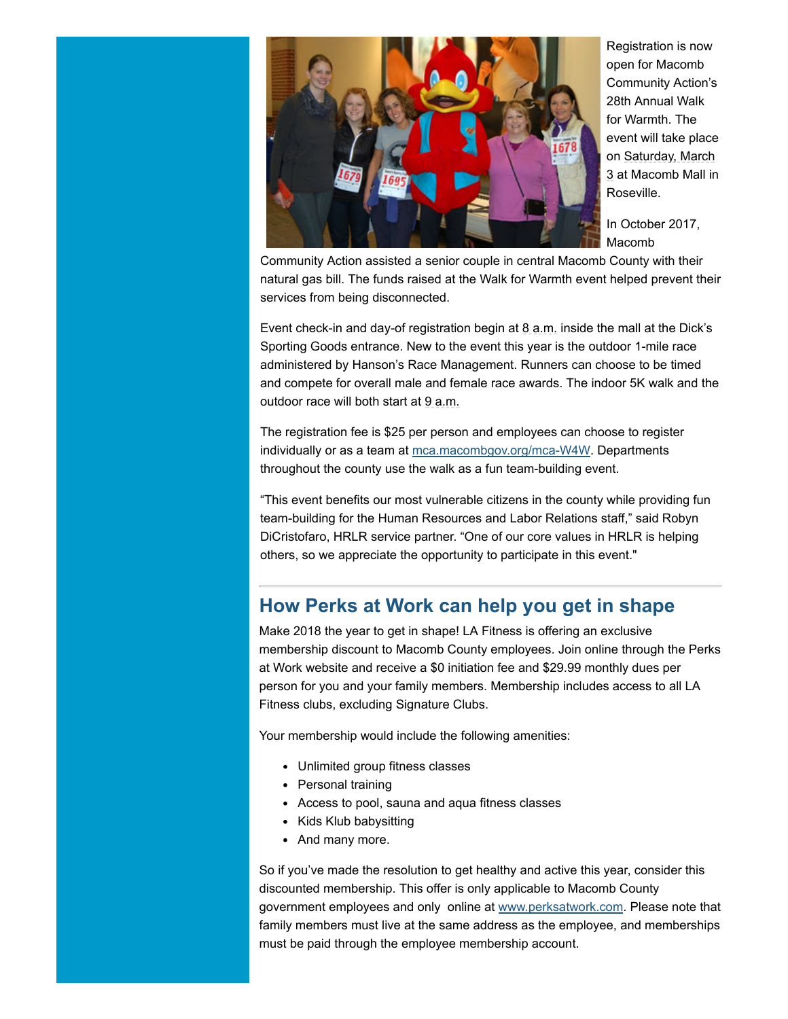

Registration is now open for Macomb Community Action's 28th Annual Walk for Warmth. The event will take place on Saturday, March 3 at Macomb Mall in Roseville.

In October 2017, Macomb

Community Action assisted a senior couple in central Macomb County with their natural gas bill. The funds raised at the Walk for Warmth event helped prevent their services from being disconnected.

Event check-in and day-of registration begin at  $8$  a.m. inside the mall at the Dick's Sporting Goods entrance. New to the event this year is the outdoor 1-mile race administered by Hanson's Race Management. Runners can choose to be timed and compete for overall male and female race awards. The indoor 5K walk and the outdoor race will both start at 9 a.m.

The registration fee is \$25 per person and employees can choose to register individually or as a team at [mca.macombgov.org/mca-W4W.](http://mca.macombgov.org/mca-W4W) Departments throughout the county use the walk as a fun team-building event.

"This event benefits our most vulnerable citizens in the county while providing fun team-building for the Human Resources and Labor Relations staff," said Robyn DiCristofaro, HRLR service partner. "One of our core values in HRLR is helping others, so we appreciate the opportunity to participate in this event."

## How Perks at Work can help you get in shape

Make 2018 the year to get in shape! LA Fitness is offering an exclusive membership discount to Macomb County employees. Join online through the Perks at Work website and receive a \$0 initiation fee and \$29.99 monthly dues per person for you and your family members. Membership includes access to all LA Fitness clubs, excluding Signature Clubs.

Your membership would include the following amenities:

- Unlimited group fitness classes
- Personal training
- Access to pool, sauna and aqua fitness classes
- Kids Klub babysitting
- And many more.

So if you've made the resolution to get healthy and active this year, consider this discounted membership. This offer is only applicable to Macomb County government employees and only online at [www.perksatwork.com](http://www.perksatwork.com/). Please note that family members must live at the same address as the employee, and memberships must be paid through the employee membership account.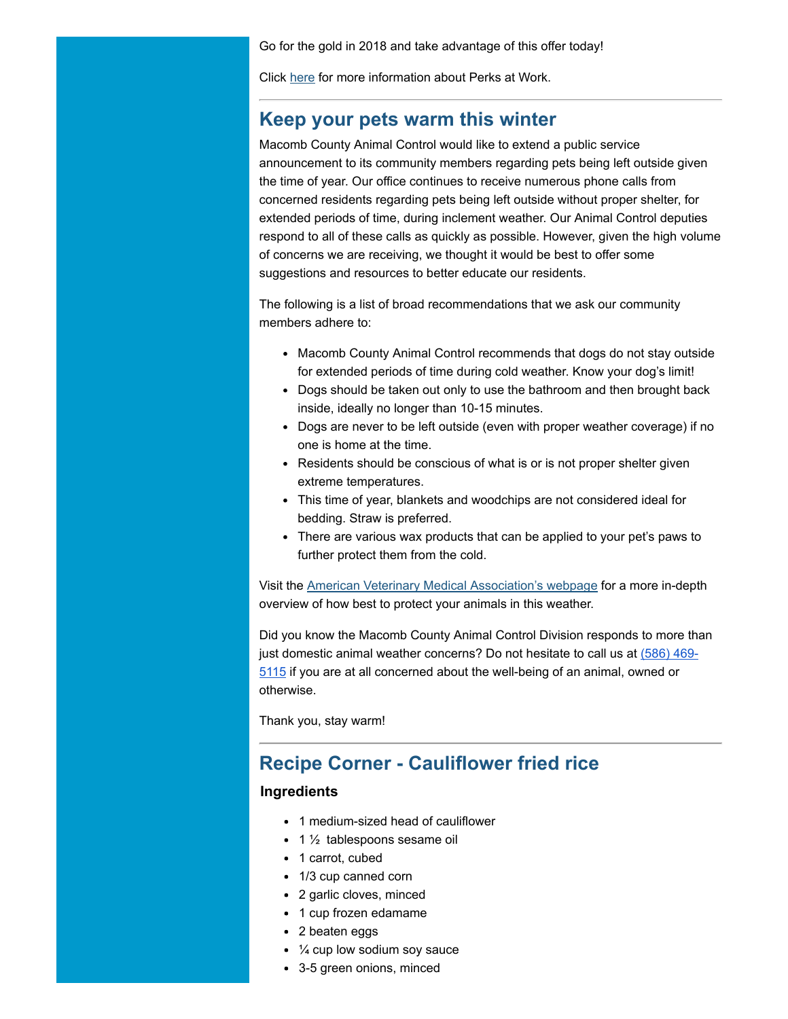Go for the gold in 2018 and take advantage of this offer today!

Click [here](http://www.macombgov.org/sites/default/files/content/government/executive/pdfs/macombmatters/PerksatWorkupdated102617_0218.pdf) for more information about Perks at Work.

#### Keep your pets warm this winter

Macomb County Animal Control would like to extend a public service announcement to its community members regarding pets being left outside given the time of year. Our office continues to receive numerous phone calls from concerned residents regarding pets being left outside without proper shelter, for extended periods of time, during inclement weather. Our Animal Control deputies respond to all of these calls as quickly as possible. However, given the high volume of concerns we are receiving, we thought it would be best to offer some suggestions and resources to better educate our residents.

The following is a list of broad recommendations that we ask our community members adhere to:

- Macomb County Animal Control recommends that dogs do not stay outside for extended periods of time during cold weather. Know your dog's limit!
- Dogs should be taken out only to use the bathroom and then brought back inside, ideally no longer than 10-15 minutes.
- Dogs are never to be left outside (even with proper weather coverage) if no one is home at the time.
- Residents should be conscious of what is or is not proper shelter given extreme temperatures.
- This time of year, blankets and woodchips are not considered ideal for bedding. Straw is preferred.
- There are various wax products that can be applied to your pet's paws to further protect them from the cold.

Visit the [American Veterinary Medical Association's webpage](https://www.avma.org/public/PetCare/Pages/Cold-weather-pet-safety.aspx) for a more in-depth overview of how best to protect your animals in this weather.

Did you know the Macomb County Animal Control Division responds to more than just domestic animal weather concerns? Do not hesitate to call us at (586) 4695115 [if you are at all concerned about the well-being of an animal, owned or](tel:(586)%20469-5115) otherwise.

Thank you, stay warm!

#### Recipe Corner - Cauliflower fried rice

#### Ingredients

- 1 medium-sized head of cauliflower
- $\cdot$  1  $\frac{1}{2}$  tablespoons sesame oil
- 1 carrot, cubed
- 1/3 cup canned corn
- 2 garlic cloves, minced
- 1 cup frozen edamame
- 2 beaten eggs
- $\cdot$   $\frac{1}{4}$  cup low sodium soy sauce
- 3-5 green onions, minced